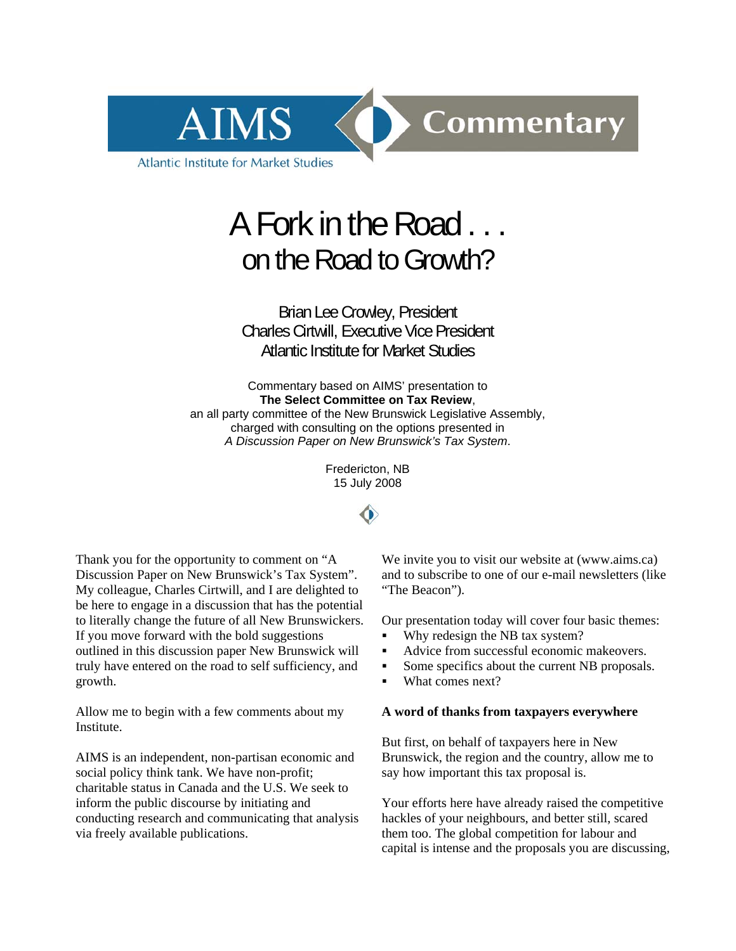

# A Fork in the Road . . . on the Road to Growth?

Brian Lee Crowley, President Charles Cirtwill, Executive Vice President Atlantic Institute for Market Studies

Commentary based on AIMS' presentation to **The Select Committee on Tax Review**, an all party committee of the New Brunswick Legislative Assembly, charged with consulting on the options presented in *A Discussion Paper on New Brunswick's Tax System*.

> Fredericton, NB 15 July 2008



Thank you for the opportunity to comment on "A Discussion Paper on New Brunswick's Tax System". My colleague, Charles Cirtwill, and I are delighted to be here to engage in a discussion that has the potential to literally change the future of all New Brunswickers. If you move forward with the bold suggestions outlined in this discussion paper New Brunswick will truly have entered on the road to self sufficiency, and growth.

Allow me to begin with a few comments about my Institute.

AIMS is an independent, non-partisan economic and social policy think tank. We have non-profit; charitable status in Canada and the U.S. We seek to inform the public discourse by initiating and conducting research and communicating that analysis via freely available publications.

We invite you to visit our website at (www.aims.ca) and to subscribe to one of our e-mail newsletters (like "The Beacon").

Our presentation today will cover four basic themes:

- Why redesign the NB tax system?
- Advice from successful economic makeovers.
- Some specifics about the current NB proposals.
- What comes next?

### **A word of thanks from taxpayers everywhere**

But first, on behalf of taxpayers here in New Brunswick, the region and the country, allow me to say how important this tax proposal is.

Your efforts here have already raised the competitive hackles of your neighbours, and better still, scared them too. The global competition for labour and capital is intense and the proposals you are discussing,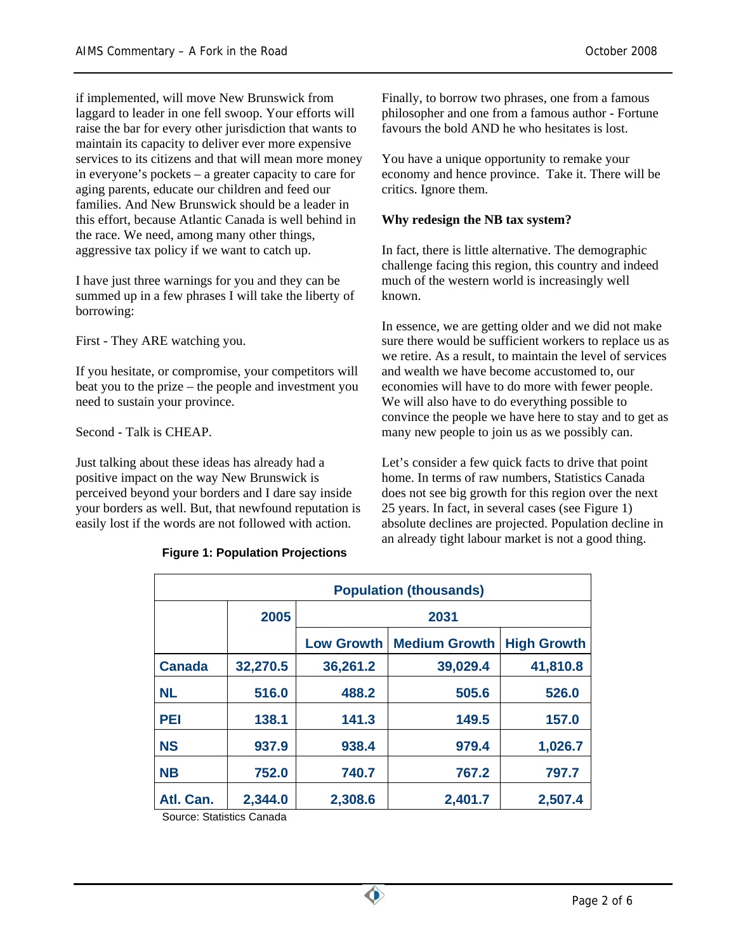if implemented, will move New Brunswick from laggard to leader in one fell swoop. Your efforts will raise the bar for every other jurisdiction that wants to maintain its capacity to deliver ever more expensive services to its citizens and that will mean more money in everyone's pockets – a greater capacity to care for aging parents, educate our children and feed our families. And New Brunswick should be a leader in this effort, because Atlantic Canada is well behind in the race. We need, among many other things, aggressive tax policy if we want to catch up.

I have just three warnings for you and they can be summed up in a few phrases I will take the liberty of borrowing:

First - They ARE watching you.

If you hesitate, or compromise, your competitors will beat you to the prize – the people and investment you need to sustain your province.

Second - Talk is CHEAP.

Just talking about these ideas has already had a positive impact on the way New Brunswick is perceived beyond your borders and I dare say inside your borders as well. But, that newfound reputation is easily lost if the words are not followed with action.

## **Figure 1: Population Projections**

Finally, to borrow two phrases, one from a famous philosopher and one from a famous author - Fortune favours the bold AND he who hesitates is lost.

You have a unique opportunity to remake your economy and hence province. Take it. There will be critics. Ignore them.

## **Why redesign the NB tax system?**

In fact, there is little alternative. The demographic challenge facing this region, this country and indeed much of the western world is increasingly well known.

In essence, we are getting older and we did not make sure there would be sufficient workers to replace us as we retire. As a result, to maintain the level of services and wealth we have become accustomed to, our economies will have to do more with fewer people. We will also have to do everything possible to convince the people we have here to stay and to get as many new people to join us as we possibly can.

Let's consider a few quick facts to drive that point home. In terms of raw numbers, Statistics Canada does not see big growth for this region over the next 25 years. In fact, in several cases (see Figure 1) absolute declines are projected. Population decline in an already tight labour market is not a good thing.

| <b>Population (thousands)</b> |          |                   |                      |                    |
|-------------------------------|----------|-------------------|----------------------|--------------------|
|                               | 2005     | 2031              |                      |                    |
|                               |          | <b>Low Growth</b> | <b>Medium Growth</b> | <b>High Growth</b> |
| <b>Canada</b>                 | 32,270.5 | 36,261.2          | 39,029.4             | 41,810.8           |
| <b>NL</b>                     | 516.0    | 488.2             | 505.6                | 526.0              |
| PEI                           | 138.1    | 141.3             | 149.5                | 157.0              |
| <b>NS</b>                     | 937.9    | 938.4             | 979.4                | 1,026.7            |
| <b>NB</b>                     | 752.0    | 740.7             | 767.2                | 797.7              |
| Atl. Can.                     | 2,344.0  | 2,308.6           | 2,401.7              | 2,507.4            |

Source: Statistics Canada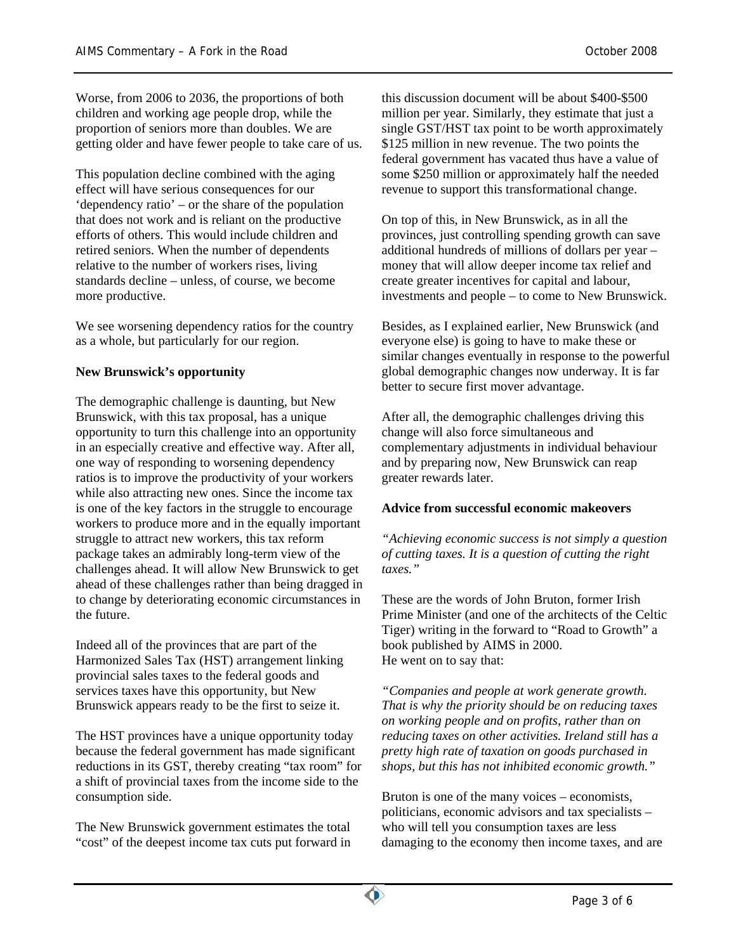Worse, from 2006 to 2036, the proportions of both children and working age people drop, while the proportion of seniors more than doubles. We are getting older and have fewer people to take care of us.

This population decline combined with the aging effect will have serious consequences for our 'dependency ratio' – or the share of the population that does not work and is reliant on the productive efforts of others. This would include children and retired seniors. When the number of dependents relative to the number of workers rises, living standards decline – unless, of course, we become more productive.

We see worsening dependency ratios for the country as a whole, but particularly for our region.

# **New Brunswick's opportunity**

The demographic challenge is daunting, but New Brunswick, with this tax proposal, has a unique opportunity to turn this challenge into an opportunity in an especially creative and effective way. After all, one way of responding to worsening dependency ratios is to improve the productivity of your workers while also attracting new ones. Since the income tax is one of the key factors in the struggle to encourage workers to produce more and in the equally important struggle to attract new workers, this tax reform package takes an admirably long-term view of the challenges ahead. It will allow New Brunswick to get ahead of these challenges rather than being dragged in to change by deteriorating economic circumstances in the future.

Indeed all of the provinces that are part of the Harmonized Sales Tax (HST) arrangement linking provincial sales taxes to the federal goods and services taxes have this opportunity, but New Brunswick appears ready to be the first to seize it.

The HST provinces have a unique opportunity today because the federal government has made significant reductions in its GST, thereby creating "tax room" for a shift of provincial taxes from the income side to the consumption side.

The New Brunswick government estimates the total "cost" of the deepest income tax cuts put forward in this discussion document will be about \$400-\$500 million per year. Similarly, they estimate that just a single GST/HST tax point to be worth approximately \$125 million in new revenue. The two points the federal government has vacated thus have a value of some \$250 million or approximately half the needed revenue to support this transformational change.

On top of this, in New Brunswick, as in all the provinces, just controlling spending growth can save additional hundreds of millions of dollars per year – money that will allow deeper income tax relief and create greater incentives for capital and labour, investments and people – to come to New Brunswick.

Besides, as I explained earlier, New Brunswick (and everyone else) is going to have to make these or similar changes eventually in response to the powerful global demographic changes now underway. It is far better to secure first mover advantage.

After all, the demographic challenges driving this change will also force simultaneous and complementary adjustments in individual behaviour and by preparing now, New Brunswick can reap greater rewards later.

# **Advice from successful economic makeovers**

*"Achieving economic success is not simply a question of cutting taxes. It is a question of cutting the right taxes."* 

These are the words of John Bruton, former Irish Prime Minister (and one of the architects of the Celtic Tiger) writing in the forward to "Road to Growth" a book published by AIMS in 2000. He went on to say that:

*"Companies and people at work generate growth. That is why the priority should be on reducing taxes on working people and on profits, rather than on reducing taxes on other activities. Ireland still has a pretty high rate of taxation on goods purchased in shops, but this has not inhibited economic growth."* 

Bruton is one of the many voices – economists, politicians, economic advisors and tax specialists – who will tell you consumption taxes are less damaging to the economy then income taxes, and are

 $\bullet$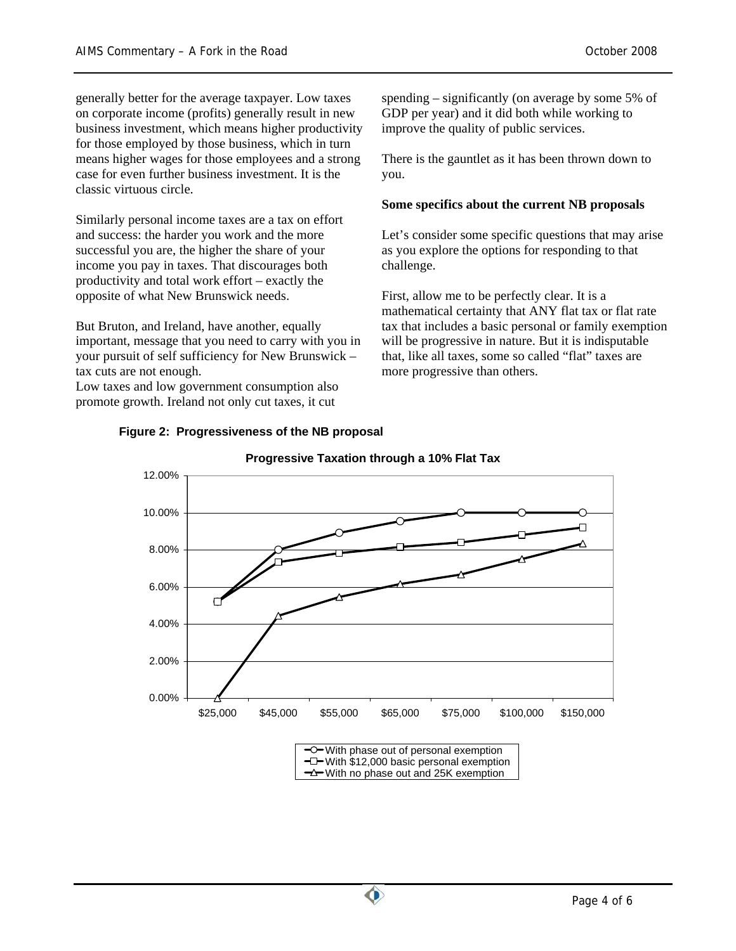generally better for the average taxpayer. Low taxes on corporate income (profits) generally result in new business investment, which means higher productivity for those employed by those business, which in turn means higher wages for those employees and a strong case for even further business investment. It is the classic virtuous circle.

Similarly personal income taxes are a tax on effort and success: the harder you work and the more successful you are, the higher the share of your income you pay in taxes. That discourages both productivity and total work effort – exactly the opposite of what New Brunswick needs.

But Bruton, and Ireland, have another, equally important, message that you need to carry with you in your pursuit of self sufficiency for New Brunswick – tax cuts are not enough.

**Figure 2: Progressiveness of the NB proposal** 

Low taxes and low government consumption also promote growth. Ireland not only cut taxes, it cut

spending – significantly (on average by some 5% of GDP per year) and it did both while working to improve the quality of public services.

There is the gauntlet as it has been thrown down to you.

## **Some specifics about the current NB proposals**

Let's consider some specific questions that may arise as you explore the options for responding to that challenge.

First, allow me to be perfectly clear. It is a mathematical certainty that ANY flat tax or flat rate tax that includes a basic personal or family exemption will be progressive in nature. But it is indisputable that, like all taxes, some so called "flat" taxes are more progressive than others.



# **Progressive Taxation through a 10% Flat Tax**

 $\neg$  With \$12,000 basic personal exemption <del></del> $\rightarrow$  With no phase out and 25K exemption

 $\bullet$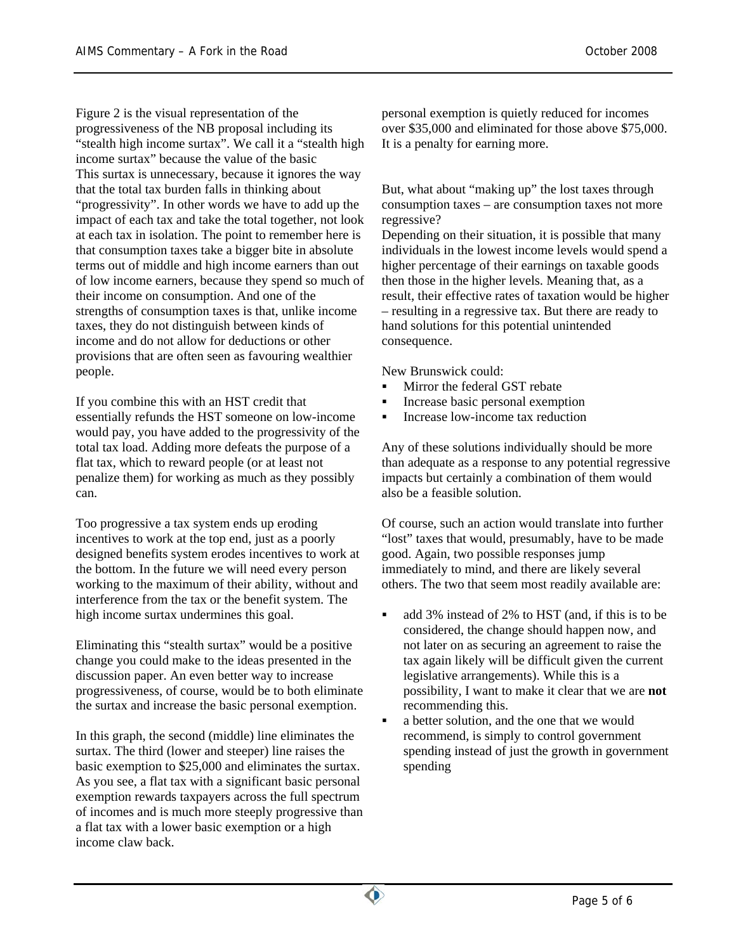Figure 2 is the visual representation of the progressiveness of the NB proposal including its "stealth high income surtax". We call it a "stealth high income surtax" because the value of the basic This surtax is unnecessary, because it ignores the way that the total tax burden falls in thinking about "progressivity". In other words we have to add up the impact of each tax and take the total together, not look at each tax in isolation. The point to remember here is that consumption taxes take a bigger bite in absolute terms out of middle and high income earners than out of low income earners, because they spend so much of their income on consumption. And one of the strengths of consumption taxes is that, unlike income taxes, they do not distinguish between kinds of income and do not allow for deductions or other provisions that are often seen as favouring wealthier people.

If you combine this with an HST credit that essentially refunds the HST someone on low-income would pay, you have added to the progressivity of the total tax load. Adding more defeats the purpose of a flat tax, which to reward people (or at least not penalize them) for working as much as they possibly can.

Too progressive a tax system ends up eroding incentives to work at the top end, just as a poorly designed benefits system erodes incentives to work at the bottom. In the future we will need every person working to the maximum of their ability, without and interference from the tax or the benefit system. The high income surtax undermines this goal.

Eliminating this "stealth surtax" would be a positive change you could make to the ideas presented in the discussion paper. An even better way to increase progressiveness, of course, would be to both eliminate the surtax and increase the basic personal exemption.

In this graph, the second (middle) line eliminates the surtax. The third (lower and steeper) line raises the basic exemption to \$25,000 and eliminates the surtax. As you see, a flat tax with a significant basic personal exemption rewards taxpayers across the full spectrum of incomes and is much more steeply progressive than a flat tax with a lower basic exemption or a high income claw back.

personal exemption is quietly reduced for incomes over \$35,000 and eliminated for those above \$75,000. It is a penalty for earning more.

But, what about "making up" the lost taxes through consumption taxes – are consumption taxes not more regressive?

Depending on their situation, it is possible that many individuals in the lowest income levels would spend a higher percentage of their earnings on taxable goods then those in the higher levels. Meaning that, as a result, their effective rates of taxation would be higher – resulting in a regressive tax. But there are ready to hand solutions for this potential unintended consequence.

New Brunswick could:

- Mirror the federal GST rebate
- Increase basic personal exemption
- Increase low-income tax reduction

Any of these solutions individually should be more than adequate as a response to any potential regressive impacts but certainly a combination of them would also be a feasible solution.

Of course, such an action would translate into further "lost" taxes that would, presumably, have to be made good. Again, two possible responses jump immediately to mind, and there are likely several others. The two that seem most readily available are:

- add 3% instead of 2% to HST (and, if this is to be considered, the change should happen now, and not later on as securing an agreement to raise the tax again likely will be difficult given the current legislative arrangements). While this is a possibility, I want to make it clear that we are **not** recommending this.
- a better solution, and the one that we would recommend, is simply to control government spending instead of just the growth in government spending